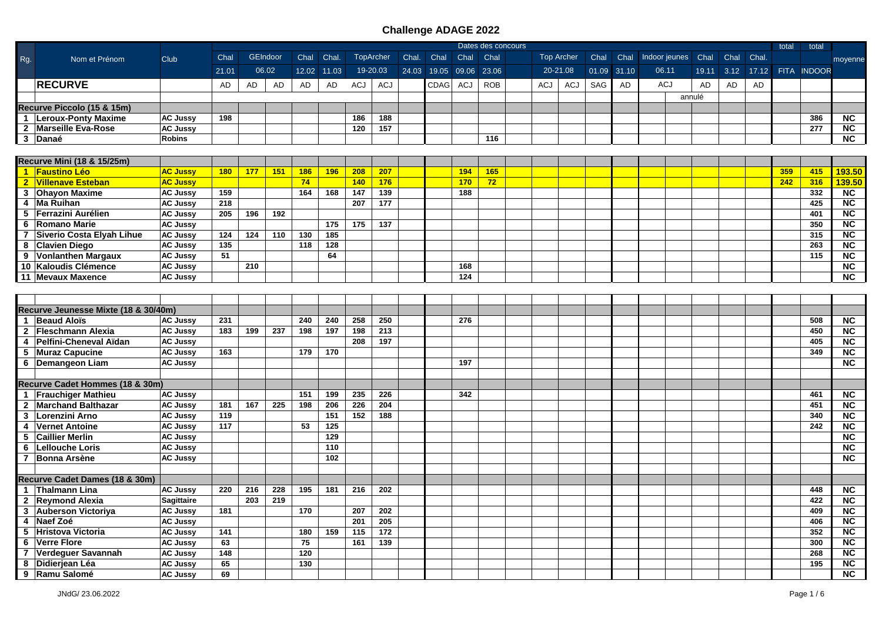|                |                                      |                   |            |     |          |      |             |            |                  |       |             |             | Dates des concours |            |                   |       |       |                    |        |      |       | total | total       |                        |
|----------------|--------------------------------------|-------------------|------------|-----|----------|------|-------------|------------|------------------|-------|-------------|-------------|--------------------|------------|-------------------|-------|-------|--------------------|--------|------|-------|-------|-------------|------------------------|
| Rg.            | Nom et Prénom                        | <b>Club</b>       | Chal       |     | GEIndoor | Chal | Chal        |            | <b>TopArcher</b> | Chal. | Chal        | Chal        | Chal               |            | <b>Top Archer</b> | Chal  | Chal  | Indoor jeunes Chal |        | Chal | Chal. |       |             | moyenne                |
|                |                                      |                   | 21.01      |     | 06.02    |      | 12.02 11.03 |            | 19-20.03         |       | 24.03 19.05 | 09.06 23.06 |                    |            | 20-21.08          | 01.09 | 31.10 | 06.11              | 19.11  | 3.12 | 17.12 |       | FITA INDOOR |                        |
|                | <b>RECURVE</b>                       |                   | AD         | AD  | AD       | AD   | AD          | <b>ACJ</b> | <b>ACJ</b>       |       | CDAG        | <b>ACJ</b>  | <b>ROB</b>         | <b>ACJ</b> | <b>ACJ</b>        | SAG   | AD    | <b>ACJ</b>         | AD     | AD   | AD    |       |             |                        |
|                |                                      |                   |            |     |          |      |             |            |                  |       |             |             |                    |            |                   |       |       |                    | annulé |      |       |       |             |                        |
|                | Recurve Piccolo (15 & 15m)           |                   |            |     |          |      |             |            |                  |       |             |             |                    |            |                   |       |       |                    |        |      |       |       |             |                        |
|                | 1   Leroux-Ponty Maxime              | <b>AC Jussy</b>   | 198        |     |          |      |             | 186        | 188              |       |             |             |                    |            |                   |       |       |                    |        |      |       |       | 386         | <b>NC</b>              |
|                | 2 Marseille Eva-Rose                 | <b>AC Jussy</b>   |            |     |          |      |             | 120        | 157              |       |             |             |                    |            |                   |       |       |                    |        |      |       |       | 277         | $\overline{\text{NC}}$ |
|                | 3 Danaé                              | <b>Robins</b>     |            |     |          |      |             |            |                  |       |             |             | 116                |            |                   |       |       |                    |        |      |       |       |             | NC                     |
|                |                                      |                   |            |     |          |      |             |            |                  |       |             |             |                    |            |                   |       |       |                    |        |      |       |       |             |                        |
|                | Recurve Mini (18 & 15/25m)           |                   |            |     |          |      |             |            |                  |       |             |             |                    |            |                   |       |       |                    |        |      |       |       |             |                        |
|                | 1 Faustino Léo                       | <b>AC Jussy</b>   | <b>180</b> | 177 | 151      | 186  | 196         | 208        | 207              |       |             | 194         | 165                |            |                   |       |       |                    |        |      |       | 359   | 415         | 193.50                 |
|                | 2 Villenave Esteban                  | <b>AC Jussy</b>   |            |     |          | 74   |             | 140        | 176              |       |             | 170         | 72                 |            |                   |       |       |                    |        |      |       | 242   | 316         | 139.50                 |
|                | 3 Ohayon Maxime                      | <b>AC Jussy</b>   | 159        |     |          | 164  | 168         | 147        | 139              |       |             | 188         |                    |            |                   |       |       |                    |        |      |       |       | 332         | $\overline{NC}$        |
|                | 4 Ma Ruihan                          | <b>AC Jussy</b>   | 218        |     |          |      |             | 207        | 177              |       |             |             |                    |            |                   |       |       |                    |        |      |       |       | 425         | <b>NC</b>              |
|                | 5 Ferrazini Aurélien                 | <b>AC Jussy</b>   | 205        | 196 | 192      |      |             |            |                  |       |             |             |                    |            |                   |       |       |                    |        |      |       |       | 401         | <b>NC</b>              |
|                | 6 Romano Marie                       | <b>AC Jussy</b>   |            |     |          |      | 175         | 175        | 137              |       |             |             |                    |            |                   |       |       |                    |        |      |       |       | 350         | $\overline{\text{NC}}$ |
|                | 7 Siverio Costa Elyah Lihue          | <b>AC Jussy</b>   | 124        | 124 | 110      | 130  | 185         |            |                  |       |             |             |                    |            |                   |       |       |                    |        |      |       |       | 315         | $\overline{\text{NC}}$ |
|                | 8 Clavien Diego                      | <b>AC Jussy</b>   | 135        |     |          | 118  | 128         |            |                  |       |             |             |                    |            |                   |       |       |                    |        |      |       |       | 263         | $\overline{\text{NC}}$ |
|                | 9 Vonlanthen Margaux                 | <b>AC Jussy</b>   | 51         |     |          |      | 64          |            |                  |       |             |             |                    |            |                   |       |       |                    |        |      |       |       | 115         | $\overline{\text{NC}}$ |
|                | 10 Kaloudis Clémence                 | <b>AC Jussy</b>   |            | 210 |          |      |             |            |                  |       |             | 168         |                    |            |                   |       |       |                    |        |      |       |       |             | $\overline{\text{NC}}$ |
|                | 11 Mevaux Maxence                    | <b>AC Jussy</b>   |            |     |          |      |             |            |                  |       |             | 124         |                    |            |                   |       |       |                    |        |      |       |       |             | <b>NC</b>              |
|                |                                      |                   |            |     |          |      |             |            |                  |       |             |             |                    |            |                   |       |       |                    |        |      |       |       |             |                        |
|                |                                      |                   |            |     |          |      |             |            |                  |       |             |             |                    |            |                   |       |       |                    |        |      |       |       |             |                        |
|                | Recurve Jeunesse Mixte (18 & 30/40m) |                   |            |     |          |      |             |            |                  |       |             |             |                    |            |                   |       |       |                    |        |      |       |       |             |                        |
|                | 1 Beaud Aloïs                        | <b>AC Jussy</b>   | 231        |     |          | 240  | 240         | 258        | 250              |       |             | 276         |                    |            |                   |       |       |                    |        |      |       |       | 508         | <b>NC</b>              |
|                | 2 Fleschmann Alexia                  | <b>AC Jussy</b>   | 183        | 199 | 237      | 198  | 197         | 198        | 213              |       |             |             |                    |            |                   |       |       |                    |        |      |       |       | 450         | <b>NC</b>              |
|                | 4 Pelfini-Cheneval Aïdan             | <b>AC Jussy</b>   |            |     |          |      |             | 208        | 197              |       |             |             |                    |            |                   |       |       |                    |        |      |       |       | 405         | $\overline{\text{NC}}$ |
|                | 5 Muraz Capucine                     | <b>AC Jussy</b>   | 163        |     |          | 179  | 170         |            |                  |       |             |             |                    |            |                   |       |       |                    |        |      |       |       | 349         | $\overline{\text{NC}}$ |
|                | 6   Demangeon Liam                   | <b>AC Jussy</b>   |            |     |          |      |             |            |                  |       |             | 197         |                    |            |                   |       |       |                    |        |      |       |       |             | <b>NC</b>              |
|                |                                      |                   |            |     |          |      |             |            |                  |       |             |             |                    |            |                   |       |       |                    |        |      |       |       |             |                        |
|                | Recurve Cadet Hommes (18 & 30m)      |                   |            |     |          |      |             |            |                  |       |             |             |                    |            |                   |       |       |                    |        |      |       |       |             |                        |
|                | 1 Frauchiger Mathieu                 | <b>AC Jussy</b>   |            |     |          | 151  | 199         | 235        | 226              |       |             | 342         |                    |            |                   |       |       |                    |        |      |       |       | 461         | NC                     |
|                | 2 Marchand Balthazar                 | <b>AC Jussy</b>   | 181        | 167 | 225      | 198  | 206         | 226        | 204              |       |             |             |                    |            |                   |       |       |                    |        |      |       |       | 451         | <b>NC</b>              |
| $\mathbf{3}$   | Lorenzini Arno                       | <b>AC Jussy</b>   | 119        |     |          |      | 151         | 152        | 188              |       |             |             |                    |            |                   |       |       |                    |        |      |       |       | 340         | NC                     |
|                | 4 Vernet Antoine                     | <b>AC Jussy</b>   | 117        |     |          | 53   | 125         |            |                  |       |             |             |                    |            |                   |       |       |                    |        |      |       |       | 242         | $\overline{\text{NC}}$ |
|                | 5 Caillier Merlin                    | <b>AC Jussy</b>   |            |     |          |      | 129         |            |                  |       |             |             |                    |            |                   |       |       |                    |        |      |       |       |             | $\overline{\text{NC}}$ |
|                | 6 Lellouche Loris                    | <b>AC Jussy</b>   |            |     |          |      | 110         |            |                  |       |             |             |                    |            |                   |       |       |                    |        |      |       |       |             | $\overline{\text{NC}}$ |
|                | 7 Bonna Arsène                       | <b>AC Jussy</b>   |            |     |          |      | 102         |            |                  |       |             |             |                    |            |                   |       |       |                    |        |      |       |       |             | NC                     |
|                |                                      |                   |            |     |          |      |             |            |                  |       |             |             |                    |            |                   |       |       |                    |        |      |       |       |             |                        |
|                | Recurve Cadet Dames (18 & 30m)       |                   |            |     |          |      |             |            |                  |       |             |             |                    |            |                   |       |       |                    |        |      |       |       |             |                        |
|                | 1 Thalmann Lina                      | <b>AC Jussy</b>   | 220        | 216 | 228      | 195  | 181         | 216        | 202              |       |             |             |                    |            |                   |       |       |                    |        |      |       |       | 448         | <b>NC</b>              |
|                | 2 Reymond Alexia                     | <b>Sagittaire</b> |            | 203 | 219      |      |             |            |                  |       |             |             |                    |            |                   |       |       |                    |        |      |       |       | 422         | $\overline{NC}$        |
|                | 3 Auberson Victoriya                 | <b>AC Jussy</b>   | 181        |     |          | 170  |             | 207        | 202              |       |             |             |                    |            |                   |       |       |                    |        |      |       |       | 409         | $\overline{\text{NC}}$ |
|                | 4 Naef Zoé                           | <b>AC Jussy</b>   |            |     |          |      |             | 201        | 205              |       |             |             |                    |            |                   |       |       |                    |        |      |       |       | 406         | $\overline{\text{NC}}$ |
|                | 5 Hristova Victoria                  | <b>AC Jussy</b>   | 141        |     |          | 180  | 159         | 115        | 172              |       |             |             |                    |            |                   |       |       |                    |        |      |       |       | 352         | <b>NC</b>              |
| 6              | <b>Verre Flore</b>                   | <b>AC Jussy</b>   | 63         |     |          | 75   |             | 161        | 139              |       |             |             |                    |            |                   |       |       |                    |        |      |       |       | 300         | <b>NC</b>              |
| $\overline{7}$ | Verdeguer Savannah                   | <b>AC Jussy</b>   | 148        |     |          | 120  |             |            |                  |       |             |             |                    |            |                   |       |       |                    |        |      |       |       | 268         | <b>NC</b>              |
|                | 8 Didierjean Léa                     | <b>AC Jussy</b>   | 65         |     |          | 130  |             |            |                  |       |             |             |                    |            |                   |       |       |                    |        |      |       |       | 195         | <b>NC</b>              |
|                | 9 Ramu Salomé                        | <b>AC Jussy</b>   | 69         |     |          |      |             |            |                  |       |             |             |                    |            |                   |       |       |                    |        |      |       |       |             | NC                     |
|                |                                      |                   |            |     |          |      |             |            |                  |       |             |             |                    |            |                   |       |       |                    |        |      |       |       |             |                        |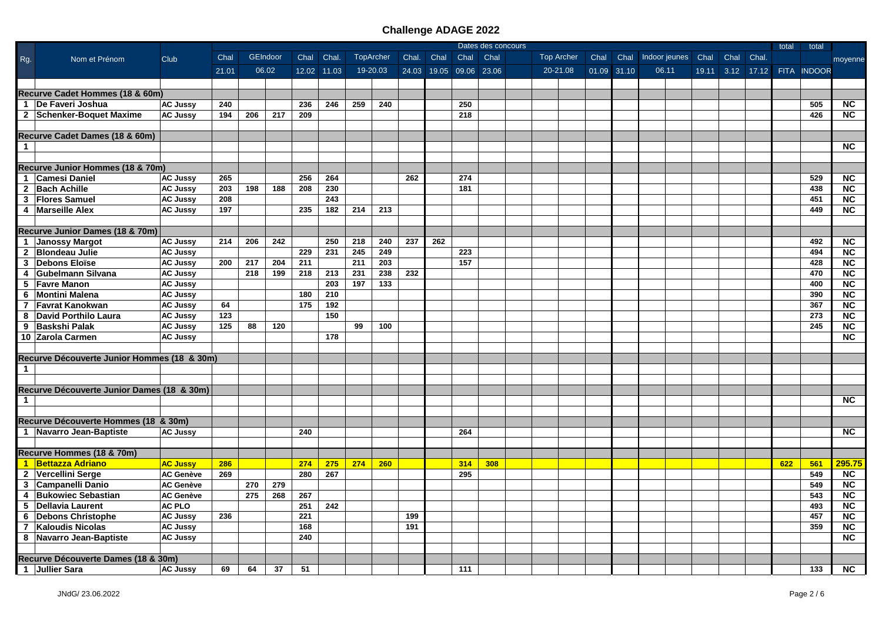|                |                                             | Dates des concours |     |          |             |       |                  |     |       |             | total       | total |            |      |             |                         |            |     |                   |                        |
|----------------|---------------------------------------------|--------------------|-----|----------|-------------|-------|------------------|-----|-------|-------------|-------------|-------|------------|------|-------------|-------------------------|------------|-----|-------------------|------------------------|
| Rg.            | Nom et Prénom<br>Club                       | Chal               |     | GEIndoor | Chal        | Chal. | <b>TopArcher</b> |     | Chal. | Chal        | Chal        | Chal  | Top Archer | Chal |             | Chal Indoor jeunes Chal | Chal Chal. |     |                   | moyenne                |
|                |                                             | 21.01              |     | 06.02    | 12.02 11.03 |       | 19-20.03         |     |       | 24.03 19.05 | 09.06 23.06 |       | 20-21.08   |      | 01.09 31.10 | 06.11                   | 19.11 3.12 |     | 17.12 FITA INDOOR |                        |
|                |                                             |                    |     |          |             |       |                  |     |       |             |             |       |            |      |             |                         |            |     |                   |                        |
|                | Recurve Cadet Hommes (18 & 60m)             |                    |     |          |             |       |                  |     |       |             |             |       |            |      |             |                         |            |     |                   |                        |
|                | 1 De Faveri Joshua<br><b>AC Jussy</b>       | 240                |     |          | 236         | 246   | 259              | 240 |       |             | 250         |       |            |      |             |                         |            |     | 505               | <b>NC</b>              |
|                | 2 Schenker-Boquet Maxime<br><b>AC Jussy</b> | 194                | 206 | 217      | 209         |       |                  |     |       |             | 218         |       |            |      |             |                         |            |     | 426               | <b>NC</b>              |
|                |                                             |                    |     |          |             |       |                  |     |       |             |             |       |            |      |             |                         |            |     |                   |                        |
|                | Recurve Cadet Dames (18 & 60m)              |                    |     |          |             |       |                  |     |       |             |             |       |            |      |             |                         |            |     |                   |                        |
| $\mathbf 1$    |                                             |                    |     |          |             |       |                  |     |       |             |             |       |            |      |             |                         |            |     |                   | <b>NC</b>              |
|                |                                             |                    |     |          |             |       |                  |     |       |             |             |       |            |      |             |                         |            |     |                   |                        |
|                | Recurve Junior Hommes (18 & 70m)            |                    |     |          |             |       |                  |     |       |             |             |       |            |      |             |                         |            |     |                   |                        |
|                | 1 Camesi Daniel<br><b>AC Jussy</b>          | 265                |     |          | 256         | 264   |                  |     | 262   |             | 274         |       |            |      |             |                         |            |     | 529               | <b>NC</b>              |
|                | 2 Bach Achille<br><b>AC Jussy</b>           | 203                | 198 | 188      | 208         | 230   |                  |     |       |             | 181         |       |            |      |             |                         |            |     | 438               | <b>NC</b>              |
|                | 3 Flores Samuel<br><b>AC Jussy</b>          | 208                |     |          |             | 243   |                  |     |       |             |             |       |            |      |             |                         |            |     | 451               | $\overline{\text{NC}}$ |
|                | 4 Marseille Alex<br><b>AC Jussy</b>         | 197                |     |          | 235         | 182   | 214              | 213 |       |             |             |       |            |      |             |                         |            |     | 449               | $\overline{NC}$        |
|                |                                             |                    |     |          |             |       |                  |     |       |             |             |       |            |      |             |                         |            |     |                   |                        |
|                | Recurve Junior Dames (18 & 70m)             |                    |     |          |             |       |                  |     |       |             |             |       |            |      |             |                         |            |     |                   |                        |
|                | 1 Janossy Margot<br><b>AC Jussy</b>         | 214                | 206 | 242      |             | 250   | 218              | 240 | 237   | 262         |             |       |            |      |             |                         |            |     | 492               | <b>NC</b>              |
|                | 2 Blondeau Julie<br><b>AC Jussy</b>         |                    |     |          | 229         | 231   | 245              | 249 |       |             | 223         |       |            |      |             |                         |            |     | 494               | <b>NC</b>              |
|                | 3 Debons Eloïse<br><b>AC Jussy</b>          | 200                | 217 | 204      | 211         |       | 211              | 203 |       |             | 157         |       |            |      |             |                         |            |     | 428               | <b>NC</b>              |
| $\overline{4}$ | Gubelmann Silvana<br><b>AC Jussy</b>        |                    | 218 | 199      | 218         | 213   | 231              | 238 | 232   |             |             |       |            |      |             |                         |            |     | 470               | <b>NC</b>              |
|                |                                             |                    |     |          |             | 203   |                  | 133 |       |             |             |       |            |      |             |                         |            |     | 400               |                        |
|                | 5 Favre Manon<br><b>AC Jussy</b>            |                    |     |          |             |       | 197              |     |       |             |             |       |            |      |             |                         |            |     | 390               | <b>NC</b>              |
|                | 6 Montini Malena<br><b>AC Jussy</b>         |                    |     |          | 180         | 210   |                  |     |       |             |             |       |            |      |             |                         |            |     |                   | <b>NC</b>              |
|                | 7 Favrat Kanokwan<br><b>AC Jussy</b>        | 64                 |     |          | 175         | 192   |                  |     |       |             |             |       |            |      |             |                         |            |     | 367               | <b>NC</b>              |
|                | 8 David Porthilo Laura<br><b>AC Jussy</b>   | 123                |     |          |             | 150   |                  |     |       |             |             |       |            |      |             |                         |            |     | 273               | $\overline{\text{NC}}$ |
|                | 9 Baskshi Palak<br><b>AC Jussy</b>          | 125                | 88  | 120      |             |       | 99               | 100 |       |             |             |       |            |      |             |                         |            |     | 245               | <b>NC</b>              |
|                | 10 Zarola Carmen<br><b>AC Jussy</b>         |                    |     |          |             | 178   |                  |     |       |             |             |       |            |      |             |                         |            |     |                   | <b>NC</b>              |
|                |                                             |                    |     |          |             |       |                  |     |       |             |             |       |            |      |             |                         |            |     |                   |                        |
|                | Recurve Découverte Junior Hommes (18 & 30m) |                    |     |          |             |       |                  |     |       |             |             |       |            |      |             |                         |            |     |                   |                        |
| $\mathbf{1}$   |                                             |                    |     |          |             |       |                  |     |       |             |             |       |            |      |             |                         |            |     |                   |                        |
|                |                                             |                    |     |          |             |       |                  |     |       |             |             |       |            |      |             |                         |            |     |                   |                        |
|                | Recurve Découverte Junior Dames (18 & 30m)  |                    |     |          |             |       |                  |     |       |             |             |       |            |      |             |                         |            |     |                   |                        |
| $\mathbf{1}$   |                                             |                    |     |          |             |       |                  |     |       |             |             |       |            |      |             |                         |            |     |                   | NC.                    |
|                |                                             |                    |     |          |             |       |                  |     |       |             |             |       |            |      |             |                         |            |     |                   |                        |
|                | Recurve Découverte Hommes (18 & 30m)        |                    |     |          |             |       |                  |     |       |             |             |       |            |      |             |                         |            |     |                   |                        |
|                | 1 Navarro Jean-Baptiste<br><b>AC Jussy</b>  |                    |     |          | 240         |       |                  |     |       |             | 264         |       |            |      |             |                         |            |     |                   | <b>NC</b>              |
|                |                                             |                    |     |          |             |       |                  |     |       |             |             |       |            |      |             |                         |            |     |                   |                        |
|                | Recurve Hommes (18 & 70m)                   |                    |     |          |             |       |                  |     |       |             |             |       |            |      |             |                         |            |     |                   |                        |
|                | 1 Bettazza Adriano<br><b>AC Jussy</b>       | 286                |     |          | 274         | 275   | 274              | 260 |       |             | 314         | 308   |            |      |             |                         |            | 622 | 561               | 295.75                 |
|                | 2 Vercellini Serge<br><b>AC Genève</b>      | 269                |     |          | 280         | 267   |                  |     |       |             | 295         |       |            |      |             |                         |            |     | 549               | <b>NC</b>              |
|                | 3 Campanelli Danio<br><b>AC Genève</b>      |                    | 270 | 279      |             |       |                  |     |       |             |             |       |            |      |             |                         |            |     | 549               | <b>NC</b>              |
|                | 4 Bukowiec Sebastian<br><b>AC Genève</b>    |                    | 275 | 268      | 267         |       |                  |     |       |             |             |       |            |      |             |                         |            |     | 543               | $\overline{\text{NC}}$ |
|                | AC PLO<br>5   Dellavia Laurent              |                    |     |          | 251         | 242   |                  |     |       |             |             |       |            |      |             |                         |            |     | 493               | <b>NC</b>              |
|                | 6 Debons Christophe<br><b>AC Jussy</b>      | 236                |     |          | 221         |       |                  |     | 199   |             |             |       |            |      |             |                         |            |     | 457               | <b>NC</b>              |
|                | 7   Kaloudis Nicolas<br><b>AC Jussy</b>     |                    |     |          | 168         |       |                  |     | 191   |             |             |       |            |      |             |                         |            |     | 359               | <b>NC</b>              |
|                | 8 Navarro Jean-Baptiste<br><b>AC Jussy</b>  |                    |     |          | 240         |       |                  |     |       |             |             |       |            |      |             |                         |            |     |                   | <b>NC</b>              |
|                |                                             |                    |     |          |             |       |                  |     |       |             |             |       |            |      |             |                         |            |     |                   |                        |
|                | Recurve Découverte Dames (18 & 30m)         |                    |     |          |             |       |                  |     |       |             |             |       |            |      |             |                         |            |     |                   |                        |
|                | 1 Jullier Sara<br><b>AC Jussy</b>           | 69                 | 64  | 37       | 51          |       |                  |     |       |             | 111         |       |            |      |             |                         |            |     | 133               | NC                     |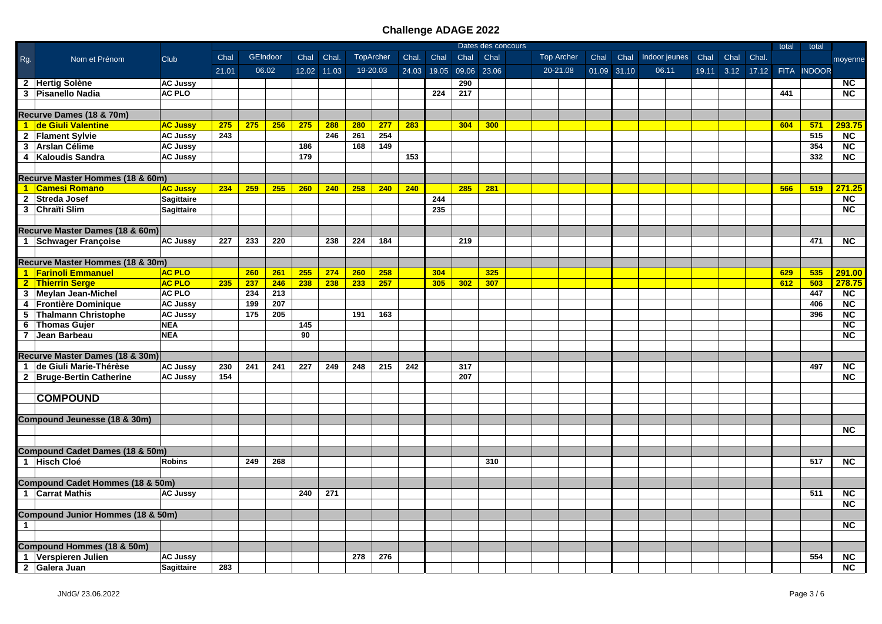|              |                                            | Dates des concours |       |     |          |      |             |           |          |       |             | total | total       |  |            |             |                         |      |       |     |                              |                        |
|--------------|--------------------------------------------|--------------------|-------|-----|----------|------|-------------|-----------|----------|-------|-------------|-------|-------------|--|------------|-------------|-------------------------|------|-------|-----|------------------------------|------------------------|
| Rg.          | Nom et Prénom                              | Club               | Chal  |     | GEIndoor | Chal | Chal.       | TopArcher |          | Chal. | Chal        | Chal  | Chal        |  | Top Archer | Chal        | Chal Indoor jeunes Chal | Chal | Chal. |     |                              | moyenne                |
|              |                                            |                    | 21.01 |     | 06.02    |      | 12.02 11.03 |           | 19-20.03 |       | 24.03 19.05 |       | 09.06 23.06 |  | 20-21.08   | 01.09 31.10 | 06.11                   |      |       |     | 19.11 3.12 17.12 FITA INDOOR |                        |
|              | 2 Hertig Solène                            | <b>AC Jussy</b>    |       |     |          |      |             |           |          |       |             | 290   |             |  |            |             |                         |      |       |     |                              | <b>NC</b>              |
|              | 3 Pisanello Nadia                          | <b>AC PLO</b>      |       |     |          |      |             |           |          |       | 224         | 217   |             |  |            |             |                         |      |       | 441 |                              | <b>NC</b>              |
|              |                                            |                    |       |     |          |      |             |           |          |       |             |       |             |  |            |             |                         |      |       |     |                              |                        |
|              | Recurve Dames (18 & 70m)                   |                    |       |     |          |      |             |           |          |       |             |       |             |  |            |             |                         |      |       |     |                              |                        |
|              | 1 de Giuli Valentine                       | <b>AC Jussy</b>    | 275   | 275 | 256      | 275  | 288         | 280       | 277      | 283   |             | 304   | 300         |  |            |             |                         |      |       | 604 | 571                          | 293.75                 |
|              | 2 Flament Sylvie                           | <b>AC Jussy</b>    | 243   |     |          |      | 246         | 261       | 254      |       |             |       |             |  |            |             |                         |      |       |     | 515                          | NC                     |
|              |                                            |                    |       |     |          |      |             | 168       | 149      |       |             |       |             |  |            |             |                         |      |       |     | 354                          | $\overline{NC}$        |
|              | 3 Arslan Célime                            | <b>AC Jussy</b>    |       |     |          | 186  |             |           |          |       |             |       |             |  |            |             |                         |      |       |     |                              |                        |
|              | 4 Kaloudis Sandra                          | <b>AC Jussy</b>    |       |     |          | 179  |             |           |          | 153   |             |       |             |  |            |             |                         |      |       |     | 332                          | $\overline{\text{NC}}$ |
|              |                                            |                    |       |     |          |      |             |           |          |       |             |       |             |  |            |             |                         |      |       |     |                              |                        |
|              | Recurve Master Hommes (18 & 60m)           |                    |       |     |          |      |             |           |          |       |             |       |             |  |            |             |                         |      |       |     |                              |                        |
|              | 1 Camesi Romano                            | <b>AC Jussy</b>    | 234   | 259 | 255      | 260  | 240         | 258       | 240      | 240   |             | 285   | 281         |  |            |             |                         |      |       | 566 | 519                          | 271.25                 |
|              | 2 Streda Josef                             | <b>Sagittaire</b>  |       |     |          |      |             |           |          |       | 244         |       |             |  |            |             |                         |      |       |     |                              | $\overline{NC}$        |
|              | 3 Chraïti Slim                             | <b>Sagittaire</b>  |       |     |          |      |             |           |          |       | 235         |       |             |  |            |             |                         |      |       |     |                              | $\overline{\text{NC}}$ |
|              |                                            |                    |       |     |          |      |             |           |          |       |             |       |             |  |            |             |                         |      |       |     |                              |                        |
|              | Recurve Master Dames (18 & 60m)            |                    |       |     |          |      |             |           |          |       |             |       |             |  |            |             |                         |      |       |     |                              |                        |
|              | 1 Schwager Françoise                       | <b>AC Jussy</b>    | 227   | 233 | 220      |      | 238         | 224       | 184      |       |             | 219   |             |  |            |             |                         |      |       |     | 471                          | NC                     |
|              |                                            |                    |       |     |          |      |             |           |          |       |             |       |             |  |            |             |                         |      |       |     |                              |                        |
|              | Recurve Master Hommes (18 & 30m)           |                    |       |     |          |      |             |           |          |       |             |       |             |  |            |             |                         |      |       |     |                              |                        |
|              | 1 Farinoli Emmanuel                        | <b>AC PLO</b>      |       | 260 | 261      | 255  | 274         | 260       | 258      |       | 304         |       | 325         |  |            |             |                         |      |       | 629 | 535                          | 291.00                 |
|              | 2 Thierrin Serge                           | <b>AC PLO</b>      | 235   | 237 | 246      | 238  | 238         | 233       | 257      |       | 305         | 302   | 307         |  |            |             |                         |      |       | 612 | 503                          | 278.75                 |
|              | 3 Meylan Jean-Michel                       | <b>AC PLO</b>      |       | 234 | 213      |      |             |           |          |       |             |       |             |  |            |             |                         |      |       |     | 447                          | <b>NC</b>              |
|              | 4 Frontière Dominique                      | <b>AC Jussy</b>    |       | 199 | 207      |      |             |           |          |       |             |       |             |  |            |             |                         |      |       |     | 406                          | NC                     |
|              | 5 Thalmann Christophe                      | <b>AC Jussy</b>    |       | 175 | 205      |      |             | 191       | 163      |       |             |       |             |  |            |             |                         |      |       |     | 396                          | $\overline{NC}$        |
|              | 6 Thomas Gujer                             | <b>NEA</b>         |       |     |          | 145  |             |           |          |       |             |       |             |  |            |             |                         |      |       |     |                              | $\overline{\text{NC}}$ |
|              | 7 Jean Barbeau                             | <b>NEA</b>         |       |     |          | 90   |             |           |          |       |             |       |             |  |            |             |                         |      |       |     |                              | <b>NC</b>              |
|              |                                            |                    |       |     |          |      |             |           |          |       |             |       |             |  |            |             |                         |      |       |     |                              |                        |
|              | Recurve Master Dames (18 & 30m)            |                    |       |     |          |      |             |           |          |       |             |       |             |  |            |             |                         |      |       |     |                              |                        |
|              | 1 de Giuli Marie-Thérèse                   | <b>AC Jussy</b>    | 230   | 241 | 241      | 227  | 249         | 248       | 215      | 242   |             | 317   |             |  |            |             |                         |      |       |     | 497                          | NC                     |
|              | 2 Bruge-Bertin Catherine                   | <b>AC Jussy</b>    | 154   |     |          |      |             |           |          |       |             | 207   |             |  |            |             |                         |      |       |     |                              | <b>NC</b>              |
|              |                                            |                    |       |     |          |      |             |           |          |       |             |       |             |  |            |             |                         |      |       |     |                              |                        |
|              | <b>COMPOUND</b>                            |                    |       |     |          |      |             |           |          |       |             |       |             |  |            |             |                         |      |       |     |                              |                        |
|              |                                            |                    |       |     |          |      |             |           |          |       |             |       |             |  |            |             |                         |      |       |     |                              |                        |
|              | Compound Jeunesse (18 & 30m)               |                    |       |     |          |      |             |           |          |       |             |       |             |  |            |             |                         |      |       |     |                              |                        |
|              |                                            |                    |       |     |          |      |             |           |          |       |             |       |             |  |            |             |                         |      |       |     |                              | <b>NC</b>              |
|              |                                            |                    |       |     |          |      |             |           |          |       |             |       |             |  |            |             |                         |      |       |     |                              |                        |
|              | <b>Compound Cadet Dames (18 &amp; 50m)</b> |                    |       |     |          |      |             |           |          |       |             |       |             |  |            |             |                         |      |       |     |                              |                        |
|              |                                            |                    |       |     |          |      |             |           |          |       |             |       |             |  |            |             |                         |      |       |     |                              |                        |
|              | 1 Hisch Cloé                               | <b>Robins</b>      |       | 249 | 268      |      |             |           |          |       |             |       | 310         |  |            |             |                         |      |       |     | 517                          | <b>NC</b>              |
|              |                                            |                    |       |     |          |      |             |           |          |       |             |       |             |  |            |             |                         |      |       |     |                              |                        |
|              | Compound Cadet Hommes (18 & 50m)           |                    |       |     |          |      |             |           |          |       |             |       |             |  |            |             |                         |      |       |     |                              |                        |
|              | 1 Carrat Mathis                            | <b>AC Jussy</b>    |       |     |          | 240  | 271         |           |          |       |             |       |             |  |            |             |                         |      |       |     | 511                          | NC                     |
|              |                                            |                    |       |     |          |      |             |           |          |       |             |       |             |  |            |             |                         |      |       |     |                              | <b>NC</b>              |
|              | Compound Junior Hommes (18 & 50m)          |                    |       |     |          |      |             |           |          |       |             |       |             |  |            |             |                         |      |       |     |                              |                        |
| $\mathbf{1}$ |                                            |                    |       |     |          |      |             |           |          |       |             |       |             |  |            |             |                         |      |       |     |                              | <b>NC</b>              |
|              |                                            |                    |       |     |          |      |             |           |          |       |             |       |             |  |            |             |                         |      |       |     |                              |                        |
|              | <b>Compound Hommes (18 &amp; 50m)</b>      |                    |       |     |          |      |             |           |          |       |             |       |             |  |            |             |                         |      |       |     |                              |                        |
|              | 1 Verspieren Julien                        | <b>AC Jussy</b>    |       |     |          |      |             | 278       | 276      |       |             |       |             |  |            |             |                         |      |       |     | 554                          | $\overline{\text{NC}}$ |
|              | 2 Galera Juan                              | Sagittaire         | 283   |     |          |      |             |           |          |       |             |       |             |  |            |             |                         |      |       |     |                              | <b>NC</b>              |
|              |                                            |                    |       |     |          |      |             |           |          |       |             |       |             |  |            |             |                         |      |       |     |                              |                        |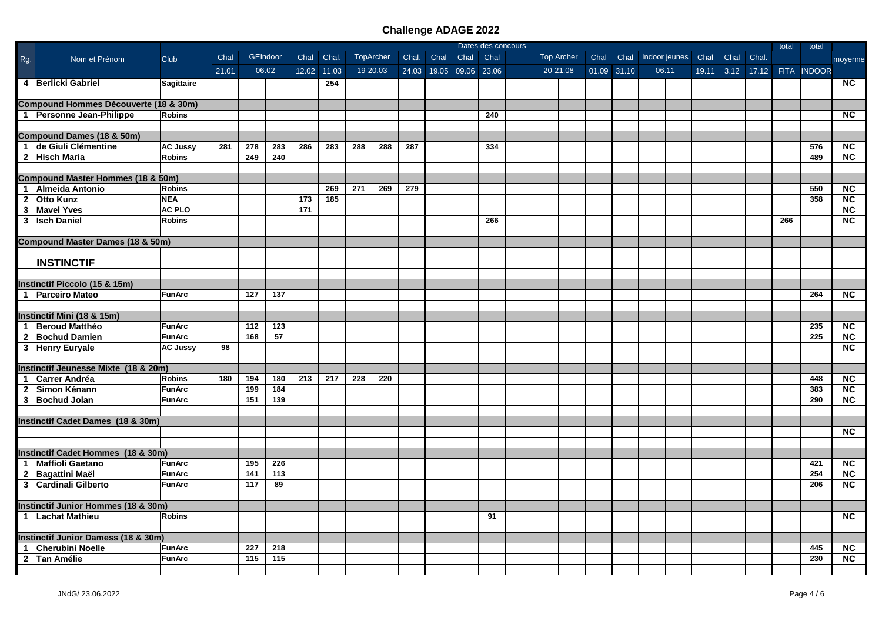|     |                                              |                   |       |     |          |      |             | Dates des concours |           |       |      |                         |     |  | total      | total       |  |                                    |  |     |                              |                        |
|-----|----------------------------------------------|-------------------|-------|-----|----------|------|-------------|--------------------|-----------|-------|------|-------------------------|-----|--|------------|-------------|--|------------------------------------|--|-----|------------------------------|------------------------|
| Rg. | Nom et Prénom                                | Club              | Chal  |     | GEIndoor | Chal | Chal.       |                    | TopArcher | Chal. | Chal | Chal Chal               |     |  | Top Archer | Chal        |  | Chal Indoor jeunes Chal Chal Chal. |  |     |                              | moyenne                |
|     |                                              |                   | 21.01 |     | 06.02    |      | 12.02 11.03 |                    | 19-20.03  |       |      | 24.03 19.05 09.06 23.06 |     |  | 20-21.08   | 01.09 31.10 |  | 06.11                              |  |     | 19.11 3.12 17.12 FITA INDOOR |                        |
|     | 4 Berlicki Gabriel                           | <b>Sagittaire</b> |       |     |          |      | 254         |                    |           |       |      |                         |     |  |            |             |  |                                    |  |     |                              | <b>NC</b>              |
|     |                                              |                   |       |     |          |      |             |                    |           |       |      |                         |     |  |            |             |  |                                    |  |     |                              |                        |
|     | Compound Hommes Découverte (18 & 30m)        |                   |       |     |          |      |             |                    |           |       |      |                         |     |  |            |             |  |                                    |  |     |                              |                        |
|     | 1 Personne Jean-Philippe                     | <b>Robins</b>     |       |     |          |      |             |                    |           |       |      |                         | 240 |  |            |             |  |                                    |  |     |                              | <b>NC</b>              |
|     |                                              |                   |       |     |          |      |             |                    |           |       |      |                         |     |  |            |             |  |                                    |  |     |                              |                        |
|     | <b>Compound Dames (18 &amp; 50m)</b>         |                   |       |     |          |      |             |                    |           |       |      |                         |     |  |            |             |  |                                    |  |     |                              |                        |
|     | 1 de Giuli Clémentine                        | <b>AC Jussy</b>   | 281   | 278 | 283      | 286  | 283         | 288                | 288       | 287   |      |                         | 334 |  |            |             |  |                                    |  |     | 576                          | $\overline{NC}$        |
|     | 2 Hisch Maria                                | <b>Robins</b>     |       | 249 | 240      |      |             |                    |           |       |      |                         |     |  |            |             |  |                                    |  |     | 489                          | NC                     |
|     |                                              |                   |       |     |          |      |             |                    |           |       |      |                         |     |  |            |             |  |                                    |  |     |                              |                        |
|     | <b>Compound Master Hommes (18 &amp; 50m)</b> |                   |       |     |          |      |             |                    |           |       |      |                         |     |  |            |             |  |                                    |  |     |                              |                        |
|     | 1 Almeida Antonio                            | <b>Robins</b>     |       |     |          |      | 269         | 271                | 269       | 279   |      |                         |     |  |            |             |  |                                    |  |     | 550                          | $\overline{NC}$        |
|     | 2 Otto Kunz                                  | <b>NEA</b>        |       |     |          | 173  | 185         |                    |           |       |      |                         |     |  |            |             |  |                                    |  |     | 358                          | NC                     |
|     | 3 Mavel Yves                                 | <b>AC PLO</b>     |       |     |          | 171  |             |                    |           |       |      |                         |     |  |            |             |  |                                    |  |     |                              | $\overline{NC}$        |
|     | 3 Isch Daniel                                | <b>Robins</b>     |       |     |          |      |             |                    |           |       |      |                         | 266 |  |            |             |  |                                    |  | 266 |                              | <b>NC</b>              |
|     |                                              |                   |       |     |          |      |             |                    |           |       |      |                         |     |  |            |             |  |                                    |  |     |                              |                        |
|     | <b>Compound Master Dames (18 &amp; 50m)</b>  |                   |       |     |          |      |             |                    |           |       |      |                         |     |  |            |             |  |                                    |  |     |                              |                        |
|     |                                              |                   |       |     |          |      |             |                    |           |       |      |                         |     |  |            |             |  |                                    |  |     |                              |                        |
|     | <b>INSTINCTIF</b>                            |                   |       |     |          |      |             |                    |           |       |      |                         |     |  |            |             |  |                                    |  |     |                              |                        |
|     |                                              |                   |       |     |          |      |             |                    |           |       |      |                         |     |  |            |             |  |                                    |  |     |                              |                        |
|     | Instinctif Piccolo (15 & 15m)                |                   |       |     |          |      |             |                    |           |       |      |                         |     |  |            |             |  |                                    |  |     |                              |                        |
|     | 1 Parceiro Mateo                             | <b>FunArc</b>     |       | 127 | 137      |      |             |                    |           |       |      |                         |     |  |            |             |  |                                    |  |     | 264                          | <b>NC</b>              |
|     |                                              |                   |       |     |          |      |             |                    |           |       |      |                         |     |  |            |             |  |                                    |  |     |                              |                        |
|     | Instinctif Mini (18 & 15m)                   |                   |       |     |          |      |             |                    |           |       |      |                         |     |  |            |             |  |                                    |  |     |                              |                        |
|     | 1 Beroud Matthéo                             | <b>FunArc</b>     |       | 112 | 123      |      |             |                    |           |       |      |                         |     |  |            |             |  |                                    |  |     | 235                          | <b>NC</b>              |
|     | 2 Bochud Damien                              | <b>FunArc</b>     |       | 168 | 57       |      |             |                    |           |       |      |                         |     |  |            |             |  |                                    |  |     | 225                          | N <sub>C</sub>         |
|     | 3 Henry Euryale                              | <b>AC Jussy</b>   | 98    |     |          |      |             |                    |           |       |      |                         |     |  |            |             |  |                                    |  |     |                              | $\overline{\text{NC}}$ |
|     |                                              |                   |       |     |          |      |             |                    |           |       |      |                         |     |  |            |             |  |                                    |  |     |                              |                        |
|     | Instinctif Jeunesse Mixte (18 & 20m)         |                   |       |     |          |      |             |                    |           |       |      |                         |     |  |            |             |  |                                    |  |     |                              |                        |
|     | 1 Carrer Andréa                              | <b>Robins</b>     | 180   | 194 | 180      | 213  | 217         | 228                | 220       |       |      |                         |     |  |            |             |  |                                    |  |     | 448                          | <b>NC</b>              |
|     | 2 Simon Kénann                               | <b>FunArc</b>     |       | 199 | 184      |      |             |                    |           |       |      |                         |     |  |            |             |  |                                    |  |     | 383                          | $\overline{\text{NC}}$ |
|     | 3 Bochud Jolan                               | <b>FunArc</b>     |       | 151 | 139      |      |             |                    |           |       |      |                         |     |  |            |             |  |                                    |  |     | 290                          | $\overline{\text{NC}}$ |
|     |                                              |                   |       |     |          |      |             |                    |           |       |      |                         |     |  |            |             |  |                                    |  |     |                              |                        |
|     | Instinctif Cadet Dames (18 & 30m)            |                   |       |     |          |      |             |                    |           |       |      |                         |     |  |            |             |  |                                    |  |     |                              |                        |
|     |                                              |                   |       |     |          |      |             |                    |           |       |      |                         |     |  |            |             |  |                                    |  |     |                              | <b>NC</b>              |
|     |                                              |                   |       |     |          |      |             |                    |           |       |      |                         |     |  |            |             |  |                                    |  |     |                              |                        |
|     | Instinctif Cadet Hommes (18 & 30m)           |                   |       |     |          |      |             |                    |           |       |      |                         |     |  |            |             |  |                                    |  |     |                              |                        |
|     | 1   Maffioli Gaetano                         | <b>FunArc</b>     |       | 195 | 226      |      |             |                    |           |       |      |                         |     |  |            |             |  |                                    |  |     | 421                          | <b>NC</b>              |
|     | 2 Bagattini Maël                             | <b>FunArc</b>     |       | 141 | 113      |      |             |                    |           |       |      |                         |     |  |            |             |  |                                    |  |     | 254                          | $\overline{NC}$        |
|     | 3 Cardinali Gilberto                         | <b>FunArc</b>     |       | 117 | 89       |      |             |                    |           |       |      |                         |     |  |            |             |  |                                    |  |     | 206                          | <b>NC</b>              |
|     | Instinctif Junior Hommes (18 & 30m)          |                   |       |     |          |      |             |                    |           |       |      |                         |     |  |            |             |  |                                    |  |     |                              |                        |
|     | 1 Lachat Mathieu                             | <b>Robins</b>     |       |     |          |      |             |                    |           |       |      |                         | 91  |  |            |             |  |                                    |  |     |                              | <b>NC</b>              |
|     |                                              |                   |       |     |          |      |             |                    |           |       |      |                         |     |  |            |             |  |                                    |  |     |                              |                        |
|     | Instinctif Junior Damess (18 & 30m)          |                   |       |     |          |      |             |                    |           |       |      |                         |     |  |            |             |  |                                    |  |     |                              |                        |
|     | 1 Cherubini Noelle                           | <b>FunArc</b>     |       | 227 | 218      |      |             |                    |           |       |      |                         |     |  |            |             |  |                                    |  |     | 445                          | <b>NC</b>              |
|     | 2 Tan Amélie                                 | <b>FunArc</b>     |       | 115 | 115      |      |             |                    |           |       |      |                         |     |  |            |             |  |                                    |  |     | 230                          | <b>NC</b>              |
|     |                                              |                   |       |     |          |      |             |                    |           |       |      |                         |     |  |            |             |  |                                    |  |     |                              |                        |
|     |                                              |                   |       |     |          |      |             |                    |           |       |      |                         |     |  |            |             |  |                                    |  |     |                              |                        |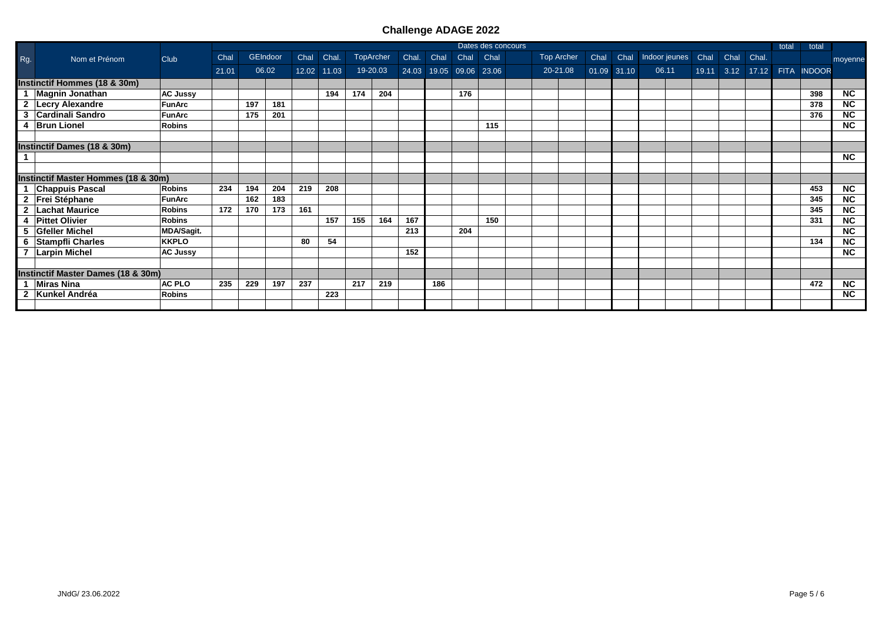|                         |                                     |                   |       |     |                 |      |             |     |                  |       |      |                         | Dates des concours |          |            |             |  |                              |  |                  | total | total              |           |
|-------------------------|-------------------------------------|-------------------|-------|-----|-----------------|------|-------------|-----|------------------|-------|------|-------------------------|--------------------|----------|------------|-------------|--|------------------------------|--|------------------|-------|--------------------|-----------|
| Rg.                     | Nom et Prénom                       | Club              | Chal  |     | <b>GEIndoor</b> | Chal | Chal.       |     | <b>TopArcher</b> | Chal. | Chal | Chal Chal               |                    |          | Top Archer | Chal        |  | Chal Indoor jeunes Chal Chal |  | Chal.            |       |                    | moyenne   |
|                         |                                     |                   | 21.01 |     | 06.02           |      | 12.02 11.03 |     | 19-20.03         |       |      | 24.03 19.05 09.06 23.06 |                    | 20-21.08 |            | 01.09 31.10 |  | 06.11                        |  | 19.11 3.12 17.12 |       | <b>FITA INDOOR</b> |           |
|                         | Instinctif Hommes (18 & 30m)        |                   |       |     |                 |      |             |     |                  |       |      |                         |                    |          |            |             |  |                              |  |                  |       |                    |           |
|                         | <b>Magnin Jonathan</b>              | <b>AC Jussy</b>   |       |     |                 |      | 194         | 174 | 204              |       |      | 176                     |                    |          |            |             |  |                              |  |                  |       | 398                | <b>NC</b> |
| $\mathbf{2}$            | Lecry Alexandre                     | <b>FunArc</b>     |       | 197 | 181             |      |             |     |                  |       |      |                         |                    |          |            |             |  |                              |  |                  |       | 378                | <b>NC</b> |
| 3                       | Cardinali Sandro                    | FunArc            |       | 175 | 201             |      |             |     |                  |       |      |                         |                    |          |            |             |  |                              |  |                  |       | 376                | <b>NC</b> |
| 4                       | <b>Brun Lionel</b>                  | <b>Robins</b>     |       |     |                 |      |             |     |                  |       |      |                         | 115                |          |            |             |  |                              |  |                  |       |                    | <b>NC</b> |
|                         |                                     |                   |       |     |                 |      |             |     |                  |       |      |                         |                    |          |            |             |  |                              |  |                  |       |                    |           |
|                         | Instinctif Dames (18 & 30m)         |                   |       |     |                 |      |             |     |                  |       |      |                         |                    |          |            |             |  |                              |  |                  |       |                    |           |
|                         |                                     |                   |       |     |                 |      |             |     |                  |       |      |                         |                    |          |            |             |  |                              |  |                  |       |                    | <b>NC</b> |
|                         |                                     |                   |       |     |                 |      |             |     |                  |       |      |                         |                    |          |            |             |  |                              |  |                  |       |                    |           |
|                         | Instinctif Master Hommes (18 & 30m) |                   |       |     |                 |      |             |     |                  |       |      |                         |                    |          |            |             |  |                              |  |                  |       |                    |           |
|                         | <b>Chappuis Pascal</b>              | <b>Robins</b>     | 234   | 194 | 204             | 219  | 208         |     |                  |       |      |                         |                    |          |            |             |  |                              |  |                  |       | 453                | <b>NC</b> |
| $\mathbf{2}$            | Frei Stéphane                       | <b>FunArc</b>     |       | 162 | 183             |      |             |     |                  |       |      |                         |                    |          |            |             |  |                              |  |                  |       | 345                | <b>NC</b> |
| $\mathbf{2}$            | <b>Lachat Maurice</b>               | <b>Robins</b>     | 172   | 170 | 173             | 161  |             |     |                  |       |      |                         |                    |          |            |             |  |                              |  |                  |       | 345                | <b>NC</b> |
| 4                       | <b>Pittet Olivier</b>               | <b>Robins</b>     |       |     |                 |      | 157         | 155 | 164              | 167   |      |                         | 150                |          |            |             |  |                              |  |                  |       | 331                | <b>NC</b> |
| 5                       | <b>Gfeller Michel</b>               | <b>MDA/Sagit.</b> |       |     |                 |      |             |     |                  | 213   |      | 204                     |                    |          |            |             |  |                              |  |                  |       |                    | <b>NC</b> |
| 6                       | <b>Stampfli Charles</b>             | <b>KKPLO</b>      |       |     |                 | 80   | 54          |     |                  |       |      |                         |                    |          |            |             |  |                              |  |                  |       | 134                | <b>NC</b> |
| $\overline{7}$          | <b>Larpin Michel</b>                | <b>AC Jussy</b>   |       |     |                 |      |             |     |                  | 152   |      |                         |                    |          |            |             |  |                              |  |                  |       |                    | <b>NC</b> |
|                         |                                     |                   |       |     |                 |      |             |     |                  |       |      |                         |                    |          |            |             |  |                              |  |                  |       |                    |           |
|                         | Instinctif Master Dames (18 & 30m)  |                   |       |     |                 |      |             |     |                  |       |      |                         |                    |          |            |             |  |                              |  |                  |       |                    |           |
|                         | <b>Miras Nina</b>                   | <b>AC PLO</b>     | 235   | 229 | 197             | 237  |             | 217 | 219              |       | 186  |                         |                    |          |            |             |  |                              |  |                  |       | 472                | <b>NC</b> |
| $\overline{\mathbf{2}}$ | Kunkel Andréa                       | <b>Robins</b>     |       |     |                 |      | 223         |     |                  |       |      |                         |                    |          |            |             |  |                              |  |                  |       |                    | <b>NC</b> |
|                         |                                     |                   |       |     |                 |      |             |     |                  |       |      |                         |                    |          |            |             |  |                              |  |                  |       |                    |           |